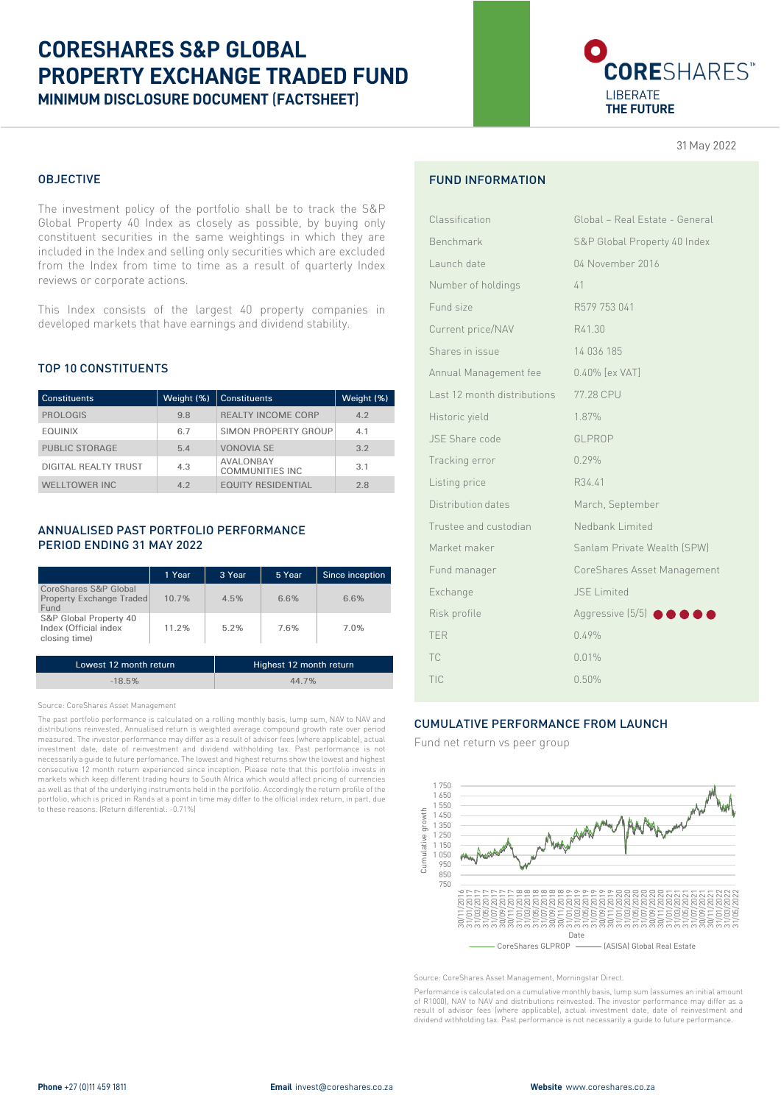# **CORESHARES S&P GLOBAL PROPERTY EXCHANGE TRADED FUND MINIMUM DISCLOSURE DOCUMENT** (**FACTSHEET**)

# CORESHARES<sup>®</sup> LIBERATE **THE FUTURE**

31 May 2022

#### OBJECTIVE

The investment policy of the portfolio shall be to track the S&P Global Property 40 Index as closely as possible, by buying only constituent securities in the same weightings in which they are included in the Index and selling only securities which are excluded from the Index from time to time as a result of quarterly Index reviews or corporate actions.

This Index consists of the largest 40 property companies in developed markets that have earnings and dividend stability.

#### TOP 10 CONSTITUENTS

| <b>Constituents</b>  | Weight (%) | l Constituents                       | Weight (%) |
|----------------------|------------|--------------------------------------|------------|
| <b>PROLOGIS</b>      | 9.8        | <b>REALTY INCOME CORP</b>            | 4.2        |
| <b>EOUINIX</b>       | 6.7        | SIMON PROPERTY GROUP                 | 4.1        |
| PUBLIC STORAGE       | 5.4        | <b>VONOVIA SE</b>                    | 3.2        |
| DIGITAL REALTY TRUST | 4.3        | <b>AVALONBAY</b><br>COMMUNITIES INC. | 3.1        |
| WELLTOWER INC.       | 42         | <b><i>EQUITY RESIDENTIAL</i></b>     | 28         |

### ANNUALISED PAST PORTFOLIO PERFORMANCE PERIOD ENDING 31 MAY 2022

|                                                                  | 1 Year   | 3 Year | 5 Year | Since inception |
|------------------------------------------------------------------|----------|--------|--------|-----------------|
| CoreShares S&P Global<br><b>Property Exchange Traded</b><br>Fund | $10.7\%$ | 4.5%   | 6.6%   | 6.6%            |
| S&P Global Property 40<br>Index (Official index<br>closing time) | 11.2%    | 5.2%   | 7.6%   | 7.0%            |
|                                                                  |          |        |        |                 |

| Lowest 12 month return | Highest 12 month return |
|------------------------|-------------------------|
| $-18.5%$               | 44.7%                   |

Source: CoreShares Asset Management

The past portfolio performance is calculated on a rolling monthly basis, lump sum, NAV to NAV and distributions reinvested. Annualised return is weighted average compound growth rate over period measured. The investor performance may differ as a result of advisor fees (where applicable), actual investment date, date of reinvestment and dividend withholding tax. Past performance is not necessarily a guide to future perfomance. The lowest and highest returns show the lowest and highest consecutive 12 month return experienced since inception. Please note that this portfolio invests in markets which keep different trading hours to South Africa which would affect pricing of currencies as well as that of the underlying instruments held in the portfolio. Accordingly the return profile of the portfolio, which is priced in Rands at a point in time may differ to the official index return, in part, due to these reasons. (Return differential: -0.71%)

## FUND INFORMATION

| Classification              | Global - Real Estate - General |
|-----------------------------|--------------------------------|
| Benchmark                   | S&P Global Property 40 Index   |
| Launch date                 | 04 November 2016               |
| Number of holdings          | 41                             |
| Fund size                   | R579 753 041                   |
| Current price/NAV           | R41.30                         |
| Shares in issue             | 14 036 185                     |
| Annual Management fee       | 0.40% [ex VAT]                 |
| Last 12 month distributions | 77.28 CPU                      |
| Historic yield              | 1.87%                          |
| JSE Share code              | GLPROP                         |
| Tracking error              | 0.29%                          |
| Listing price               | R34.41                         |
| Distribution dates          | March, September               |
| Trustee and custodian       | Nedbank Limited                |
| Market maker                | Sanlam Private Wealth (SPW)    |
| Fund manager                | CoreShares Asset Management    |
| Exchange                    | <b>JSE Limited</b>             |
| Risk profile                | Aggressive (5/5) <b>OOO</b>    |
| <b>TER</b>                  | 0.49%                          |
| TC                          | 0.01%                          |
| TIC                         | 0.50%                          |
|                             |                                |

#### CUMULATIVE PERFORMANCE FROM LAUNCH

Fund net return vs peer group



Source: CoreShares Asset Management, Morningstar Direct.

Performance is calculated on a cumulative monthly basis, lump sum (assumes an initial amount of R1000), NAV to NAV and distributions reinvested. The investor performance may differ as a result of advisor fees (where applicable), actual investment date, date of reinvestment and dividend withholding tax. Past performance is not necessarily a guide to future performance.